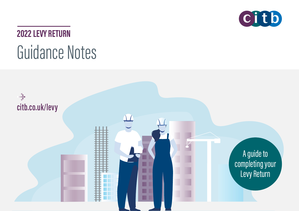

# **2022 LEVY RETURN** Guidance Notes

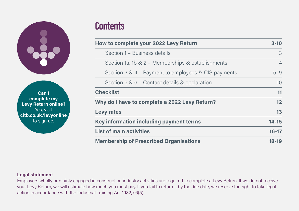

**Can Icomplete my Levy Return online?** Yes, visit **[citb.co.uk/levyonline](http://citb.co.uk/levyonline
)** to sign up.

# **Contents**

| How to complete your 2022 Levy Return               | $3-10$         |
|-----------------------------------------------------|----------------|
| Section 1 - Business details                        | 3              |
| Section 1a, 1b & 2 - Memberships & establishments   | $\overline{4}$ |
| Section 3 & 4 - Payment to employees & CIS payments | $5 - 9$        |
| Section 5 & 6 – Contact details & declaration       | 10             |
| <b>Checklist</b>                                    | 11             |
| Why do I have to complete a 2022 Levy Return?       | 12             |
| <b>Levy rates</b>                                   | 13             |
| Key information including payment terms             | $14 - 15$      |
| <b>List of main activities</b>                      | $16 - 17$      |
| <b>Membership of Prescribed Organisations</b>       | $18-19$        |

#### **Legal statement**

Employers wholly or mainly engaged in construction industry activities are required to complete a Levy Return. If we do not receive your Levy Return, we will estimate how much you must pay. If you fail to return it by the due date, we reserve the right to take legal action in accordance with the Industrial Training Act 1982, s6(5).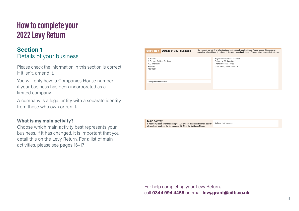### **How to complete your 2022 Levy Return**

### **Section 1** Details of your business

Please check the information in this section is correct. If it isn't, amend it.

You will only have a Companies House number if your business has been incorporated as a limited company.

A company is a legal entity with a separate identity from those who own or run it.

#### **What is my main activity?**

Choose which main activity best represents your business. If it has changed, it is important that you detail this on the Levy Return. For a list of main activities, please see pages 16–17.

| <b>Section 1</b><br>Details of your business                                   | Our records contain the following information about your business. Please amend if incorrect or<br>complete where blank. You should inform us immediately if any of these details change in the future. |
|--------------------------------------------------------------------------------|---------------------------------------------------------------------------------------------------------------------------------------------------------------------------------------------------------|
| A Sample<br>A Sample Building Services<br>123 Brick Lane<br>Anytown<br>AN2 9XX | Registration number: 1234567<br>Return by: 30 June 2022<br>Phone: 0344 994 4455<br>Email: levy.grant@citb.co.uk                                                                                         |
| Companies House no.                                                            |                                                                                                                                                                                                         |

Main activity

If incorrect please enter the description which best describes the main activity of your business from the list on pages 16–17 of the Guidance Notes. Building maintenance

For help completing your Levy Return, call 0344 994 4455 or email [levy.grant@citb.co.uk](mailto:levy.grant%40citb.co.uk?subject=)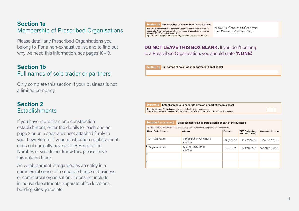### **Section 1a**Membership of Prescribed Organisations

Please detail any Prescribed Organisations you belong to. For a non-exhaustive list, and to find out why we need this information, see pages 18–19.

### **Section 1b**Full names of sole trader or partners

Only complete this section if your business is not a limited company.

### **Section 2Establishments**

If you have more than one construction establishment, enter the details for each one on page 2 or on a separate sheet attached firmly to your Levy Return. If your construction establishment does not currently have a CITB Registration Number, or you do not know this, please leave this column blank.

An establishment is regarded as an entity in a commercial sense of a separate house of business or commercial organisation. It does not include in-house departments, separate office locations, building sites, yards etc.



Section 3

If you are a member of any Prescribed Organisation not listed in this box, Federation of Master Builders (FMB)

please add. A non-exhaustive list of Prescribed Organisations is featured on pages 18-19 of the Guidance Notes. If you do not belong to a Prescribed Organisation, please write 'NONE'

Federation of Master Builders (FMB) Home Builders Federation (HBF )

1 1 5 6 8

8 5 6  $\mu$  6  $\mu$ 

2

#### **DO NOT LEAVE THIS BOX BLANK.** If you don't belong to a Prescribed Organisation, you should state **'NONE**: o a Prescribed Organisation, you should state **'NONE'**

Section 1b Full names of sole trader or partners (if applicable)



#### Section 2 (continued) Establishments (a separate division or part of the business) Total tax deducted from sub-contractors paid through CIS from Section 2 (continued) Establishments (a separa £

| Provide details of all establishments declared on page 1. Continue on a separate sheet if necessary. |                                      |          |                                               |                     |
|------------------------------------------------------------------------------------------------------|--------------------------------------|----------|-----------------------------------------------|---------------------|
| Name of establishment                                                                                | <b>Address</b>                       | Postcode | <b>CITB Registration</b><br>Number (if known) | Companies House no. |
| DE Demolition                                                                                        | Anchor Industrial Estate,<br>Anutown | AN7 OWN  | 2345678                                       | 9876543211          |
| Anutown Homes                                                                                        | 123 Business House,<br>Anutown       | ANG ITY  | 3456789                                       | 9876543212          |
| 3                                                                                                    |                                      |          |                                               |                     |
|                                                                                                      |                                      |          |                                               |                     |
|                                                                                                      |                                      |          |                                               |                     |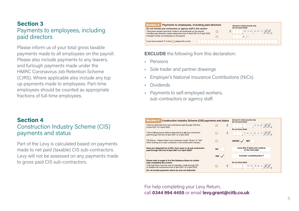### **Section 3**Payments to employees, including paid directors

Please inform us of your total gross taxable payments made to all employees on the payroll. Please also include payments to any leavers, and furlough payments made under the HMRC Coronavirus Job Retention Scheme (CJRS). Where applicable also include any top up payments made to employees. Part-time employees should be counted as appropriate fractions of full-time employees.



#### **EXCLUDE** the following from this declaration: Membership of Prescribed Organisations

- **Paid CIS from 6 April 2021 to all sub-contractors (before deluctions) to all sub-contractors in the any Prescribed Organisation no this box, and any Prescribed Organisation not listed organisation no the any Prescribed Or** please add. A non-exhaustive list of Prescribed Organisations is featured organisations in  $\mathcal{L}$
- · Sole trader and partner drawings Full names of sole trader or partners (if applicable)
- Employer's National Insurance Contributions (NICs)
- • $\blacksquare$  Dividends  $\blacksquare$
- · Payments to self-employed workers, sub-contractors or agency staff.

| <b>Section 4</b> |  |
|------------------|--|
|                  |  |

### Construction Industry Scheme (CIS) payments and status

Part of the Levy is calculated based on payments made to net paid (taxable) CIS sub-contractors. Levy will not be assessed on any payments made to gross paid CIS sub-contractors.

| Section 4 Construction Industry Scheme (CIS) payments and status                                                                        |                     | Amount in whole pounds only<br>Do not leave blank  |
|-----------------------------------------------------------------------------------------------------------------------------------------|---------------------|----------------------------------------------------|
| Total tax deducted from sub-contractors paid through CIS from<br>6 April 2021 to 5 April 2022.                                          | £<br>$\overline{c}$ | 1568/2                                             |
| Total of all payments (before deductions) to all sub-contractors<br>paid through CIS from 6 April 2021 to 5 April 2022.                 | £<br>D              | Do not leave blank<br>2426027                      |
| CIS Status - Please state if your business is paid "Gross" or "Net"<br>when working for a main contractor in the construction industry. | 目                   | GROSS \/<br><b>NET</b>                             |
| Have you deducted tax at 30% from some or all sub-contractors<br>paid through CIS from 6 April 2021 to 5 April 2022?                    | <b>NO</b>           | Leave Box E blank and continue<br>on the next page |
|                                                                                                                                         | YES $\sqrt{}$       | <b>Consider completing Box F</b>                   |
| Please refer to pages 8-9 of the Guidance Notes for further<br>help completing this section.                                            |                     | Do not leave blank                                 |
| Total payments, less the cost of materials, made through CIS<br>to taxable sub-contractors from 6 April 2021 to 5 April 2022.           | £<br>F              | 5534082                                            |
| Do not include payments where tax was not deducted.                                                                                     |                     |                                                    |

For help completing your Levy Return, call **0344 994 4455** or email **[levy.grant@citb.co.uk](mailto:levy.grant%40citb.co.uk?subject=)**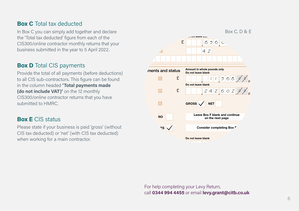### **Box C** Total tax deducted **EXALL Registration Numbers and Companies House numbers**  $\mathbb{R}^n$

In Box C you can simply add together and declare  $\hspace{0.1mm}$ the 'Total tax deducted' figure from each of the contractors or all this section of the CIS300/online contractor monthly returns that your business submitted in the year to 5 April 2022.

### **Box D** Total CIS payments

Provide the total of all payments (before deductions) **Examples and status** to all CIS sub-contractors. This figure can be found in the column headed **'Total payments made (do not include VAT)'** on the 12 monthly CIS300/online contractor returns that you have submitted to HMRC. CIS Status – Please state if you business is paid "Net" or "Net" or "Net" or "Net" or "Net"

### **Box E** CIS status

Please state if your business is paid 'gross' (without CIS tax deducted) or 'net' (with CIS tax deducted) when working for a main contractor.



For help completing your Levy Return, call **0344 994 4455** or email **[levy.grant@citb.co.uk](mailto:levy.grant%40citb.co.uk?subject=)**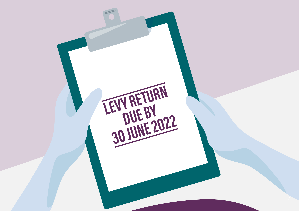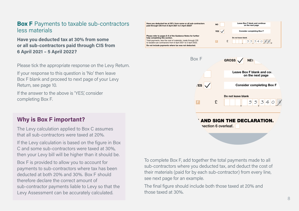### **Box F** Payments to taxable sub-contractors less materials

Have you deducted tax at 30% from some or all sub-contractors paid through CIS from **6 April 2021 – 5 April 2022?**

Please tick the appropriate response on the Levy Return.

Box F blank and proceed to next page of your Levy Return, see page 10.

If the answer to the above is 'YES', consider the construction of the Guidance Notes for the Guidance Notes for completing Box F.

### **Why is Box F important?**

The Levy calculation applied to Box C assumes that all sub-contractors were taxed at 20%.

If the Levy calculation is based on the figure in Box C and some sub-contractors were taxed at 30%, then your Levy bill will be higher than it should be.

Box F is provided to allow you to account for payments to sub-contractors where tax has been deducted at both 20% and 30%. Box F should therefore declare the correct amount ofsub-contractor payments liable to Levy so that the Levy Assessment can be accurately calculated.





To complete Box F, add together the total payments made to all sub-contractors where you deducted tax, and deduct the cost of their materials (paid for by each sub-contractor) from every line, see next page for an example.

The final figure should include both those taxed at 20% and those taxed at 30%.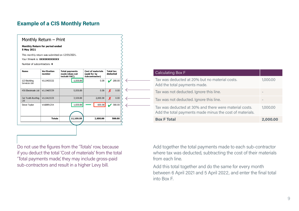### **Example of a CIS Monthly Return**

#### Monthly Return - Print

Monthly Return for period ended 5 May 2021

This monthly return was submitted on 12/05/2021.

Your IRmark is: XXXXXXXXXXXX

Number of subcontractors: 4

| <b>Name</b>                  | <b>Verification</b><br>number | <b>Total payments</b><br>made (does not<br>include VAT) | <b>Cost of materials</b><br>(paid for by<br>subcontractor) | <b>Total tax</b><br>deducted |  |
|------------------------------|-------------------------------|---------------------------------------------------------|------------------------------------------------------------|------------------------------|--|
| 123 Building<br>Services Ltd | V115455532                    | 1,000.00                                                | 0.00                                                       | 200.00                       |  |
| 456 Electricals Ltd.         | V115465539                    | 5,000.00                                                | 0.00                                                       | Х<br>0.00                    |  |
| Cat Tooth Roofing<br>Ltd     | V115415533                    | 3,500.00                                                | 2,000.00                                                   | 0.00<br>X                    |  |
| <b>Steve Taylor</b>          | V168891254                    | 1,600.00                                                | 600.00                                                     | 300.00                       |  |
|                              | <b>Totals</b>                 | 11,100.00                                               | 2,600.00                                                   | 500.00                       |  |

Do not use the figures from the 'Totals' row, because if you deduct the total 'Cost of materials' from the total 'Total payments made', they may include gross-paid sub-contractors and result in a higher Levy bill.

| Calculating Box F                                                                                                  |          |
|--------------------------------------------------------------------------------------------------------------------|----------|
| Tax was deducted at 20% but no material costs.<br>Add the total payments made.                                     | 1,000,00 |
| Tax was not deducted. Ignore this line.                                                                            |          |
| Tax was not deducted. Ignore this line.                                                                            |          |
| Tax was deducted at 30% and there were material costs.<br>Add the total payments made minus the cost of materials. | 1,000,00 |
| <b>Box F Total</b>                                                                                                 | 2,000,00 |

Add together the total payments made to each sub-contractor where tax was deducted, subtracting the cost of their materials from each line.

Add this total together and do the same for every month between 6 April 2021 and 5 April 2022, and enter the final total into Box F.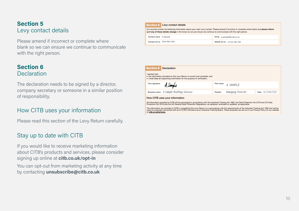### **Section 5** Levy contact details

Please amend if incorrect or complete where blank so we can ensure we continue to communicate with the right person.

### **Section 6 Declaration**

The declaration needs to be signed by a director, company secretary or someone in a similar position of responsibility.

### How CITB uses your information

Please read this section of the Levy Return carefully.

### Stay up to date with CITB

If you would like to receive marketing information about CITB's products and services, please consider signing up online at **[citb.co.uk/opt-in](http://citb.co.uk/opt-in)**

You can opt-out from marketing activity at any time by contacting **[unsubscribe@citb.co.uk](mailto:unsubscribe%40citb.co.uk?subject=)**



| Section 6                      | Declaration                                                                                                                                               |            |                   |               |  |
|--------------------------------|-----------------------------------------------------------------------------------------------------------------------------------------------------------|------------|-------------------|---------------|--|
| I declare that:                | . the information provided on this Levy Return is correct and complete: and<br>. I shall keep all supporting information for the purpose of verification. |            |                   |               |  |
| Your signature                 | A, Samplo                                                                                                                                                 | Print name | A SAMPLE          |               |  |
|                                | Business name A Sample Building Services                                                                                                                  | Position   | Managing Director | Date 01/06/22 |  |
| How CITB uses your information |                                                                                                                                                           |            |                   |               |  |

All information provided to CITB will be processed in accordance with the Industrial Training Act 1982, the Data Protection Act 2018 and UK Data<br>Protection Act 2018 and the UK General Data Protection Regulations, as replac

The information you provide to CITB in completing this Levy Return is in accordance with the requirements of the Industrial Training Act 1982 and will be<br>used for purposes connected with all of CITB's functions as an Indus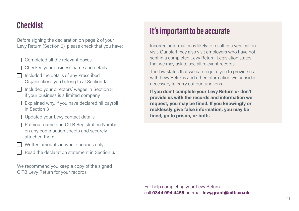### **Checklist**

Before signing the declaration on page 2 of your Levy Return (Section 6), please check that you have:

 Completed all the relevant boxes Checked your business name and details  $\Box$  Included the details of any Prescribed Organisations you belong to at Section 1a  $\Box$  Included your directors' wages in Section 3 if your business is a limited company  $\Box$  Explained why, if you have declared nil payroll in Section 3□ Updated your Levy contact details  $\Box$  Put your name and CITB Registration Number on any continuation sheets and securely attached them Written amounts in whole pounds only Read the declaration statement in Section 6.

We recommend you keep a copy of the signed CITB Levy Return for your records.

### **It's important to be accurate**

Incorrect information is likely to result in a verification visit. Our staff may also visit employers who have not sent in a completed Levy Return. Legislation states that we may ask to see all relevant records.

The law states that we can require you to provide us with Levy Returns and other information we consider necessary to carry out our functions.

**If you don't complete your Levy Return or don't provide us with the records and information we request, you may be fined. If you knowingly or recklessly give false information, you may be fined, go to prison, or both.**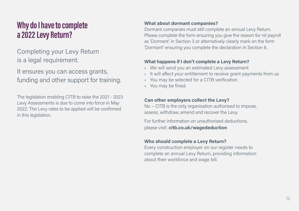### **Why do I have to complete a 2022 Levy Return?**

Completing your Levy Return is a legal requirement.

It ensures you can access grants, funding and other support for training.

The legislation enabling CITB to raise the 2021 - 2023 Levy Assessments is due to come into force in May 2022. The Levy rates to be applied will be confirmed in this legislation.

#### **What about dormant companies?**

Dormant companies must still complete an annual Levy Return. Please complete the form ensuring you give the reason for nil payroll as 'Dormant' in Section 3 or alternatively clearly mark on the form 'Dormant' ensuring you complete the declaration in Section 6.

### **What happens if I don't complete a Levy Return?**

- We will send you an estimated Levy assessment
- It will affect your entitlement to receive grant payments from us
- You may be selected for a CITB verification
- You may be fined.

### **Can other employers collect the Levy?**

No – CITB is the only organisation authorised to impose, assess, withdraw, amend and recover the Levy.

For further information on unauthorised deductions, please visit: **[citb.co.uk/wagededuction](https://www.citb.co.uk/levy-grants-and-funding/citb-levy/levy-rates-and-exemptions/deducting-levy-from-wages/)**

### **Who should complete a Levy Return?**

Every construction employer on our register needs to complete an annual Levy Return, providing information about their workforce and wage bill.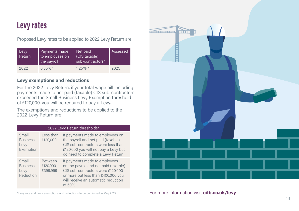### **Levy rates**

Proposed Levy rates to be applied to 2022 Levy Return are:

| Levy<br>Return | Payments made<br>to employees on<br>the payroll | Net paid<br>(CIS taxable)<br>sub-contractors* | Assessed |
|----------------|-------------------------------------------------|-----------------------------------------------|----------|
| 2022           | $0.35\%$ *                                      | $1.25\%$ *                                    | 2023     |

#### **Levy exemptions and reductions**

For the 2022 Levy Return, if your total wage bill including payments made to net paid (taxable) CIS sub-contractors exceeded the Small Business Levy Exemption threshold of £120,000, you will be required to pay a Levy.

The exemptions and reductions to be applied to the 2022 Levy Return are:

| 2022 Levy Return thresholds*                  |                                            |                                                                                                                                                                                                    |  |
|-----------------------------------------------|--------------------------------------------|----------------------------------------------------------------------------------------------------------------------------------------------------------------------------------------------------|--|
| Small<br><b>Business</b><br>Levy<br>Exemption | Less than<br>£120,000                      | If payments made to employees on<br>the payroll and net paid (taxable)<br>CIS sub-contractors were less than<br>£120,000 you will not pay a Levy but<br>do need to complete a Levy Return          |  |
| Small<br><b>Business</b><br>Levy<br>Reduction | <b>Between</b><br>£120,000 $-$<br>£399,999 | If payments made to employees<br>on the payroll and net paid (taxable)<br>CIS sub-contractors were £120,000<br>or more but less than £400,000 you<br>will receive an automatic reduction<br>of 50% |  |





\*Levy rate and Levy exemptions and reductions to be confirmed in May 2022. For more information visit **[citb.co.uk/levy](http://citb.co.uk/levy)**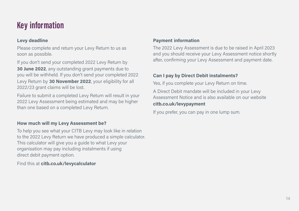### **Key information**

### **Levy deadline**

Please complete and return your Levy Return to us as soon as possible.

If you don't send your completed 2022 Levy Return by **30 June 2022**, any outstanding grant payments due to you will be withheld. If you don't send your completed 2022 Levy Return by **30 November 2022**, your eligibility for all 2022/23 grant claims will be lost.

Failure to submit a completed Levy Return will result in your 2022 Levy Assessment being estimated and may be higher than one based on a completed Levy Return.

### **How much will my Levy Assessment be?**

To help you see what your CITB Levy may look like in relation to the 2022 Levy Return we have produced a simple calculator. This calculator will give you a guide to what Levy your organisation may pay including instalments if using direct debit payment option.

Find this at **[citb.co.uk/levycalculator](http://citb.co.uk/levycalculator )**

#### **Payment information**

The 2022 Levy Assessment is due to be raised in April 2023 and you should receive your Levy Assessment notice shortly after, confirming your Levy Assessment and payment date.

#### **Can I pay by Direct Debit instalments?**

Yes, if you complete your Levy Return on time.

A Direct Debit mandate will be included in your Levy Assessment Notice and is also available on our website**[citb.co.uk/levypayment](http://citb.co.uk/levypayment )**

If you prefer, you can pay in one lump sum.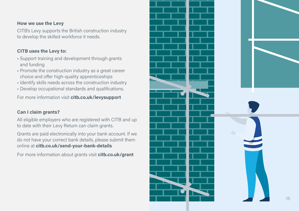#### **How we use the Levy**

CITB's Levy supports the British construction industry to develop the skilled workforce it needs.

### **CITB uses the Levy to:**

- Support training and development through grants and funding
- Promote the construction industry as a great career choice and offer high-quality apprenticeships
- Identify skills needs across the construction industry
- Develop occupational standards and qualifications.

For more information visit **[citb.co.uk/levysupport](http://citb.co.uk/levysupport )**

### **Can I claim grants?**

All eligible employers who are registered with CITB and up to date with their Levy Return can claim grants.

Grants are paid electronically into your bank account. If we do not have your correct bank details, please submit them online at **[citb.co.uk/send-your-bank-details](http://citb.co.uk/send-your-bank-details )**

For more information about grants visit **[citb.co.uk/grant](http://citb.co.uk/grant)**

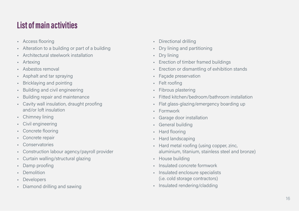## **List of main activities**

- Access flooring
- Alteration to a building or part of a building
- •Architectural steelwork installation
- Artexing
- Asbestos removal
- Asphalt and tar spraying
- •Bricklaying and pointing
- •Building and civil engineering
- •Building repair and maintenance
- Cavity wall insulation, draught proofing and/or loft insulation
- Chimney lining
- Civil engineering
- Concrete flooring
- •Concrete repair
- Conservatories
- •Construction labour agency/payroll provider
- Curtain walling/structural glazing
- •Damp proofing
- Demolition
- •Developers
- Diamond drilling and sawing
- Directional drilling
- •Dry lining and partitioning
- •Dry lining
- •Erection of timber framed buildings
- •Erection or dismantling of exhibition stands
- •Façade preservation
- •Felt roofing
- •Fibrous plastering
- •Fitted kitchen/bedroom/bathroom installation
- •Flat glass-glazing/emergency boarding up
- •Formwork
- •Garage door installation
- •General building
- •Hard flooring
- •Hard landscaping
- • Hard metal roofing (using copper, zinc, aluminium, titanium, stainless steel and bronze)
- House building
- Insulated concrete formwork
- Insulated enclosure specialists (i.e. cold storage contractors)
- Insulated rendering/cladding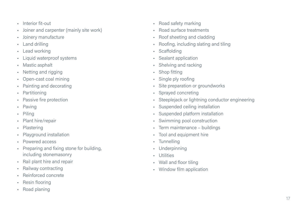- Interior fit-out
- •Joiner and carpenter (mainly site work)
- •Joinery manufacture
- •Land drilling
- •Lead working
- •Liquid waterproof systems
- •Mastic asphalt
- •Netting and rigging
- •Open-cast coal mining
- •Painting and decorating
- •Partitioning
- •Passive fire protection
- •Paving
- •Piling
- •Plant hire/repair
- •Plastering
- •Playground installation
- Powered access
- • Preparing and fixing stone for building, including stonemasonry
- •Rail plant hire and repair
- •Railway contracting
- •Reinforced concrete
- •Resin flooring
- •Road planing
- •Road safety marking
- •Road surface treatments
- •Roof sheeting and cladding
- •Roofing, including slating and tiling
- **Scaffolding**
- •Sealant application
- •Shelving and racking
- •Shop fitting
- •Single ply roofing
- •Site preparation or groundworks
- •Sprayed concreting
- •Steeplejack or lightning conductor engineering
- •Suspended ceiling installation
- •Suspended platform installation
- •Swimming pool construction
- •Term maintenance – buildings
- •Tool and equipment hire
- Tunnelling
- •Underpinning
- •Utilities
- Wall and floor tiling
- Window film application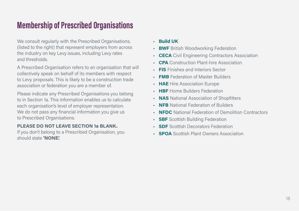### **Membership of Prescribed Organisations**

We consult regularly with the Prescribed Organisations, (listed to the right) that represent employers from across the industry on key Levy issues, including Levy rates and thresholds.

A Prescribed Organisation refers to an organisation that will collectively speak on behalf of its members with respect to Levy proposals. This is likely to be a construction trade association or federation you are a member of.

Please indicate any Prescribed Organisations you belong to in Section 1a. This information enables us to calculate each organisation's level of employer representation. We do not pass any financial information you give us to Prescribed Organisations.

### **PLEASE DO NOT LEAVE SECTION 1a BLANK.**

If you don't belong to a Prescribed Organisation, you should state **'NONE'.**

- **Build UK**
- **BWF** British Woodworking Federation
- •**CECA** Civil Engineering Contractors Association
- **CPA** Construction Plant-hire Association
- **FIS** Finishes and Interiors Sector
- **FMB** Federation of Master Builders
- **HAE** Hire Association Europe
- **HBF** Home Builders Federation
- **NAS** National Association of Shopfitters
- **NFB** National Federation of Builders
- •**NFDC** National Federation of Demolition Contractors
- **SBF** Scottish Building Federation
- **SDF** Scottish Decorators Federation
- **SPOA** Scottish Plant Owners Association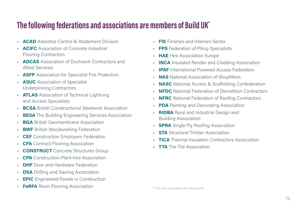### **The following federations and associations are members of Build UK\***

- **ACAD** Asbestos Control & Abatement Division
- **ACIFC** Association of Concrete Industrial Flooring Contractors
- **ADCAS** Association of Ductwork Contractors and Allied Services
- **ASFP** Association for Specialist Fire Protection
- **ASUC** Association of Specialist Underpinning Contractors
- **ATLAS** Association of Technical Lightning and Access Specialists
- **BCSA** British Constructional Steelwork Association
- **BESA** The Building Engineering Services Association
- **BGA** British Geomembrane Association
- •**BWF** British Woodworking Federation
- **CEF** Construction Employers Federation
- **CFA** Contract Flooring Association
- •**CONSTRUCT** Concrete Structures Group
- **CPA** Construction Plant-hire Association
- •**DHF** Door and Hardware Federation
- **DSA** Drilling and Sawing Association
- •**EPIC** Engineered Panels in Construction
- •**FeRFA** Resin Flooring Association
- **FIS** Finishes and Interiors Sector
- **FPS** Federation of Piling Specialists
- **HAE** Hire Association Europe
- •**INCA** Insulated Render and Cladding Association
- **IPAF** International Powered Access Federation
- **NAS** National Association of Shopfitters
- **NASC** National Access & Scaffolding Confederation
- **NFDC** National Federation of Demolition Contractors
- **NFRC** National Federation of Roofing Contractors
- **PDA** Painting and Decorating Association
- •**RIDBA** Rural and Industrial Design and Building Association
- **SPRA** Single Ply Roofing Association
- **STA** Structural Timber Association
- **TICA** Thermal Insulation Contractors Association
- **TTA** The Tile Association